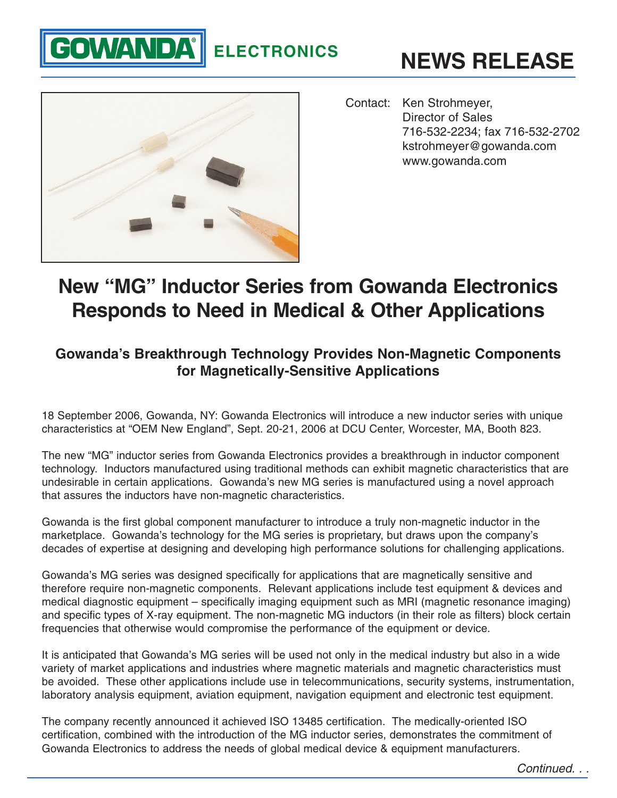## **ELECTRONICS**





**GOWANDA®** 

Contact: Ken Strohmeyer, Director of Sales 716-532-2234; fax 716-532-2702 kstrohmeyer@gowanda.com www.gowanda.com

## **New "MG" Inductor Series from Gowanda Electronics Responds to Need in Medical & Other Applications**

## **Gowanda's Breakthrough Technology Provides Non-Magnetic Components for Magnetically-Sensitive Applications**

18 September 2006, Gowanda, NY: Gowanda Electronics will introduce a new inductor series with unique characteristics at "OEM New England", Sept. 20-21, 2006 at DCU Center, Worcester, MA, Booth 823.

The new "MG" inductor series from Gowanda Electronics provides a breakthrough in inductor component technology. Inductors manufactured using traditional methods can exhibit magnetic characteristics that are undesirable in certain applications. Gowanda's new MG series is manufactured using a novel approach that assures the inductors have non-magnetic characteristics.

Gowanda is the first global component manufacturer to introduce a truly non-magnetic inductor in the marketplace. Gowanda's technology for the MG series is proprietary, but draws upon the company's decades of expertise at designing and developing high performance solutions for challenging applications.

Gowanda's MG series was designed specifically for applications that are magnetically sensitive and therefore require non-magnetic components. Relevant applications include test equipment & devices and medical diagnostic equipment – specifically imaging equipment such as MRI (magnetic resonance imaging) and specific types of X-ray equipment. The non-magnetic MG inductors (in their role as filters) block certain frequencies that otherwise would compromise the performance of the equipment or device.

It is anticipated that Gowanda's MG series will be used not only in the medical industry but also in a wide variety of market applications and industries where magnetic materials and magnetic characteristics must be avoided. These other applications include use in telecommunications, security systems, instrumentation, laboratory analysis equipment, aviation equipment, navigation equipment and electronic test equipment.

The company recently announced it achieved ISO 13485 certification. The medically-oriented ISO certification, combined with the introduction of the MG inductor series, demonstrates the commitment of Gowanda Electronics to address the needs of global medical device & equipment manufacturers.

Continued. . .